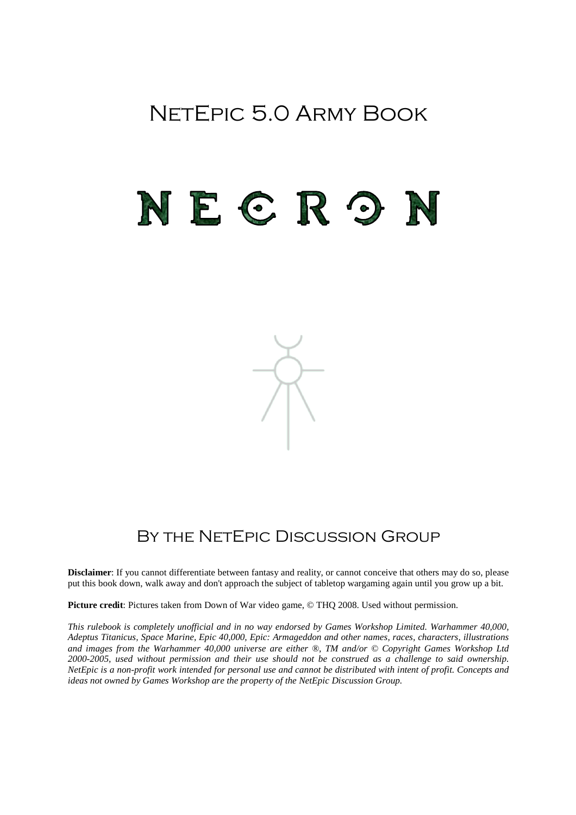# NECRON



## By the NetEpic Discussion Group

**Disclaimer**: If you cannot differentiate between fantasy and reality, or cannot conceive that others may do so, please put this book down, walk away and don't approach the subject of tabletop wargaming again until you grow up a bit.

**Picture credit**: Pictures taken from Down of War video game, © THQ 2008. Used without permission.

*This rulebook is completely unofficial and in no way endorsed by Games Workshop Limited. Warhammer 40,000, Adeptus Titanicus, Space Marine, Epic 40,000, Epic: Armageddon and other names, races, characters, illustrations and images from the Warhammer 40,000 universe are either ®, TM and/or © Copyright Games Workshop Ltd 2000-2005, used without permission and their use should not be construed as a challenge to said ownership. NetEpic is a non-profit work intended for personal use and cannot be distributed with intent of profit. Concepts and ideas not owned by Games Workshop are the property of the NetEpic Discussion Group.*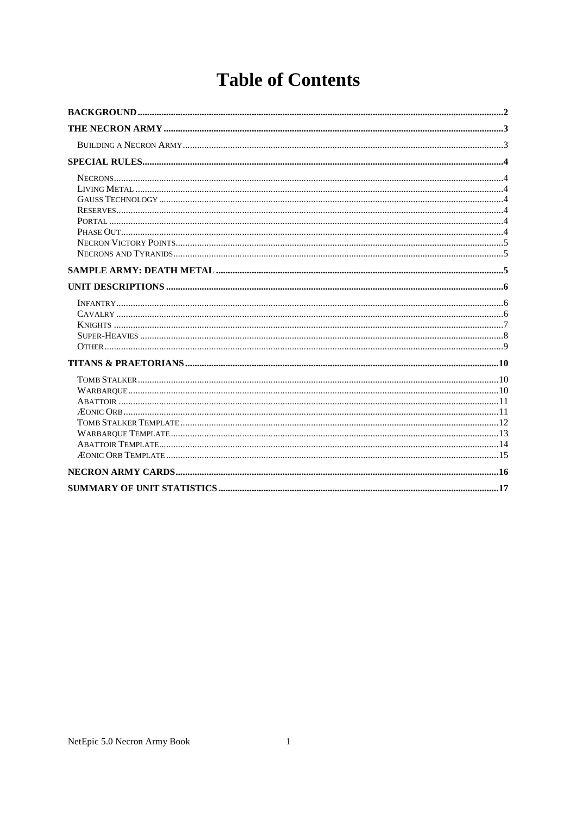# **Table of Contents**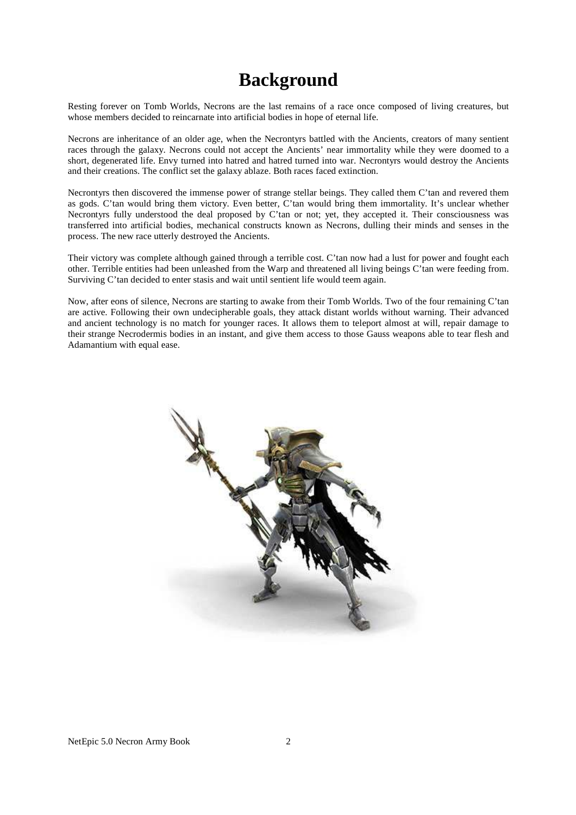## **Background**

Resting forever on Tomb Worlds, Necrons are the last remains of a race once composed of living creatures, but whose members decided to reincarnate into artificial bodies in hope of eternal life.

Necrons are inheritance of an older age, when the Necrontyrs battled with the Ancients, creators of many sentient races through the galaxy. Necrons could not accept the Ancients' near immortality while they were doomed to a short, degenerated life. Envy turned into hatred and hatred turned into war. Necrontyrs would destroy the Ancients and their creations. The conflict set the galaxy ablaze. Both races faced extinction.

Necrontyrs then discovered the immense power of strange stellar beings. They called them C'tan and revered them as gods. C'tan would bring them victory. Even better, C'tan would bring them immortality. It's unclear whether Necrontyrs fully understood the deal proposed by C'tan or not; yet, they accepted it. Their consciousness was transferred into artificial bodies, mechanical constructs known as Necrons, dulling their minds and senses in the process. The new race utterly destroyed the Ancients.

Their victory was complete although gained through a terrible cost. C'tan now had a lust for power and fought each other. Terrible entities had been unleashed from the Warp and threatened all living beings C'tan were feeding from. Surviving C'tan decided to enter stasis and wait until sentient life would teem again.

Now, after eons of silence, Necrons are starting to awake from their Tomb Worlds. Two of the four remaining C'tan are active. Following their own undecipherable goals, they attack distant worlds without warning. Their advanced and ancient technology is no match for younger races. It allows them to teleport almost at will, repair damage to their strange Necrodermis bodies in an instant, and give them access to those Gauss weapons able to tear flesh and Adamantium with equal ease.

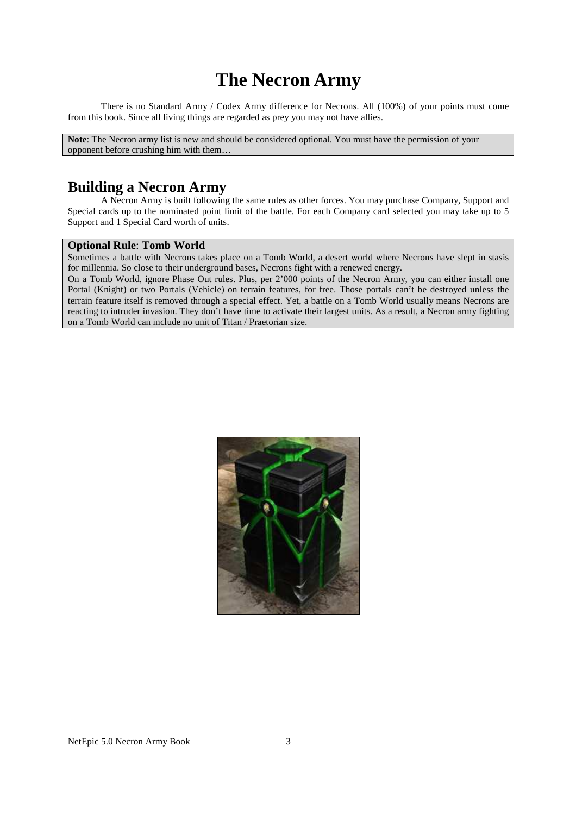## **The Necron Army**

There is no Standard Army / Codex Army difference for Necrons. All (100%) of your points must come from this book. Since all living things are regarded as prey you may not have allies.

**Note**: The Necron army list is new and should be considered optional. You must have the permission of your opponent before crushing him with them…

#### **Building a Necron Army**

A Necron Army is built following the same rules as other forces. You may purchase Company, Support and Special cards up to the nominated point limit of the battle. For each Company card selected you may take up to 5 Support and 1 Special Card worth of units.

#### **Optional Rule**: **Tomb World**

Sometimes a battle with Necrons takes place on a Tomb World, a desert world where Necrons have slept in stasis for millennia. So close to their underground bases, Necrons fight with a renewed energy.

On a Tomb World, ignore Phase Out rules. Plus, per 2'000 points of the Necron Army, you can either install one Portal (Knight) or two Portals (Vehicle) on terrain features, for free. Those portals can't be destroyed unless the terrain feature itself is removed through a special effect. Yet, a battle on a Tomb World usually means Necrons are reacting to intruder invasion. They don't have time to activate their largest units. As a result, a Necron army fighting on a Tomb World can include no unit of Titan / Praetorian size.

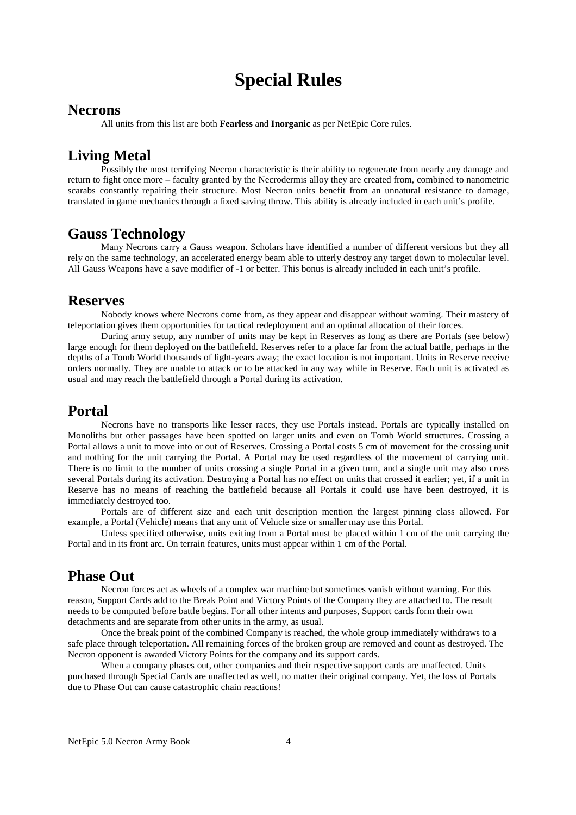## **Special Rules**

#### **Necrons**

All units from this list are both **Fearless** and **Inorganic** as per NetEpic Core rules.

#### **Living Metal**

Possibly the most terrifying Necron characteristic is their ability to regenerate from nearly any damage and return to fight once more – faculty granted by the Necrodermis alloy they are created from, combined to nanometric scarabs constantly repairing their structure. Most Necron units benefit from an unnatural resistance to damage, translated in game mechanics through a fixed saving throw. This ability is already included in each unit's profile.

#### **Gauss Technology**

Many Necrons carry a Gauss weapon. Scholars have identified a number of different versions but they all rely on the same technology, an accelerated energy beam able to utterly destroy any target down to molecular level. All Gauss Weapons have a save modifier of -1 or better. This bonus is already included in each unit's profile.

#### **Reserves**

Nobody knows where Necrons come from, as they appear and disappear without warning. Their mastery of teleportation gives them opportunities for tactical redeployment and an optimal allocation of their forces.

During army setup, any number of units may be kept in Reserves as long as there are Portals (see below) large enough for them deployed on the battlefield. Reserves refer to a place far from the actual battle, perhaps in the depths of a Tomb World thousands of light-years away; the exact location is not important. Units in Reserve receive orders normally. They are unable to attack or to be attacked in any way while in Reserve. Each unit is activated as usual and may reach the battlefield through a Portal during its activation.

#### **Portal**

Necrons have no transports like lesser races, they use Portals instead. Portals are typically installed on Monoliths but other passages have been spotted on larger units and even on Tomb World structures. Crossing a Portal allows a unit to move into or out of Reserves. Crossing a Portal costs 5 cm of movement for the crossing unit and nothing for the unit carrying the Portal. A Portal may be used regardless of the movement of carrying unit. There is no limit to the number of units crossing a single Portal in a given turn, and a single unit may also cross several Portals during its activation. Destroying a Portal has no effect on units that crossed it earlier; yet, if a unit in Reserve has no means of reaching the battlefield because all Portals it could use have been destroyed, it is immediately destroyed too.

Portals are of different size and each unit description mention the largest pinning class allowed. For example, a Portal (Vehicle) means that any unit of Vehicle size or smaller may use this Portal.

Unless specified otherwise, units exiting from a Portal must be placed within 1 cm of the unit carrying the Portal and in its front arc. On terrain features, units must appear within 1 cm of the Portal.

#### **Phase Out**

Necron forces act as wheels of a complex war machine but sometimes vanish without warning. For this reason, Support Cards add to the Break Point and Victory Points of the Company they are attached to. The result needs to be computed before battle begins. For all other intents and purposes, Support cards form their own detachments and are separate from other units in the army, as usual.

Once the break point of the combined Company is reached, the whole group immediately withdraws to a safe place through teleportation. All remaining forces of the broken group are removed and count as destroyed. The Necron opponent is awarded Victory Points for the company and its support cards.

When a company phases out, other companies and their respective support cards are unaffected. Units purchased through Special Cards are unaffected as well, no matter their original company. Yet, the loss of Portals due to Phase Out can cause catastrophic chain reactions!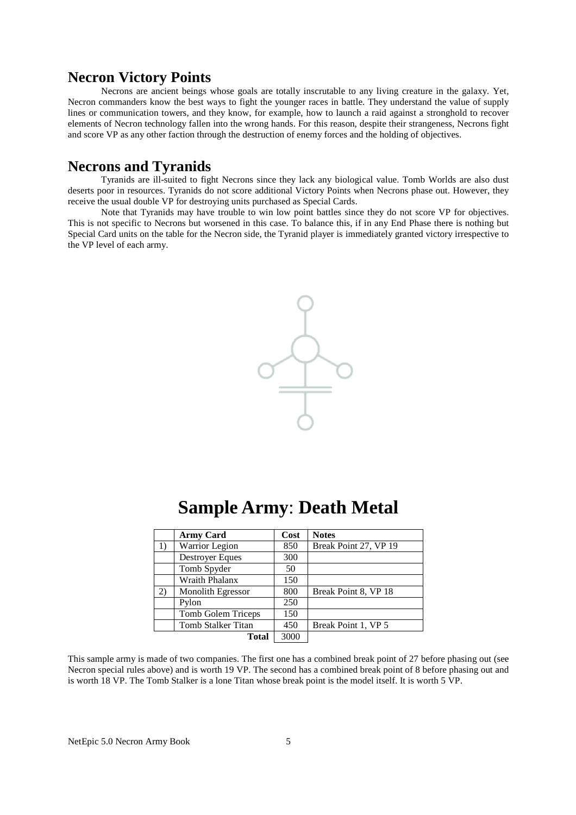#### **Necron Victory Points**

Necrons are ancient beings whose goals are totally inscrutable to any living creature in the galaxy. Yet, Necron commanders know the best ways to fight the younger races in battle. They understand the value of supply lines or communication towers, and they know, for example, how to launch a raid against a stronghold to recover elements of Necron technology fallen into the wrong hands. For this reason, despite their strangeness, Necrons fight and score VP as any other faction through the destruction of enemy forces and the holding of objectives.

#### **Necrons and Tyranids**

Tyranids are ill-suited to fight Necrons since they lack any biological value. Tomb Worlds are also dust deserts poor in resources. Tyranids do not score additional Victory Points when Necrons phase out. However, they receive the usual double VP for destroying units purchased as Special Cards.

Note that Tyranids may have trouble to win low point battles since they do not score VP for objectives. This is not specific to Necrons but worsened in this case. To balance this, if in any End Phase there is nothing but Special Card units on the table for the Necron side, the Tyranid player is immediately granted victory irrespective to the VP level of each army.



|              | <b>Army Card</b>          | Cost | <b>Notes</b>          |
|--------------|---------------------------|------|-----------------------|
| 1)           | Warrior Legion            | 850  | Break Point 27, VP 19 |
|              | Destroyer Eques           | 300  |                       |
|              | Tomb Spyder               | 50   |                       |
|              | Wraith Phalanx            | 150  |                       |
| $\mathbf{2}$ | Monolith Egressor         | 800  | Break Point 8, VP 18  |
|              | Pylon                     | 250  |                       |
|              | <b>Tomb Golem Triceps</b> | 150  |                       |
|              | <b>Tomb Stalker Titan</b> | 450  | Break Point 1, VP 5   |
|              | <b>Total</b>              | 3000 |                       |

## **Sample Army**: **Death Metal**

This sample army is made of two companies. The first one has a combined break point of 27 before phasing out (see Necron special rules above) and is worth 19 VP. The second has a combined break point of 8 before phasing out and is worth 18 VP. The Tomb Stalker is a lone Titan whose break point is the model itself. It is worth 5 VP.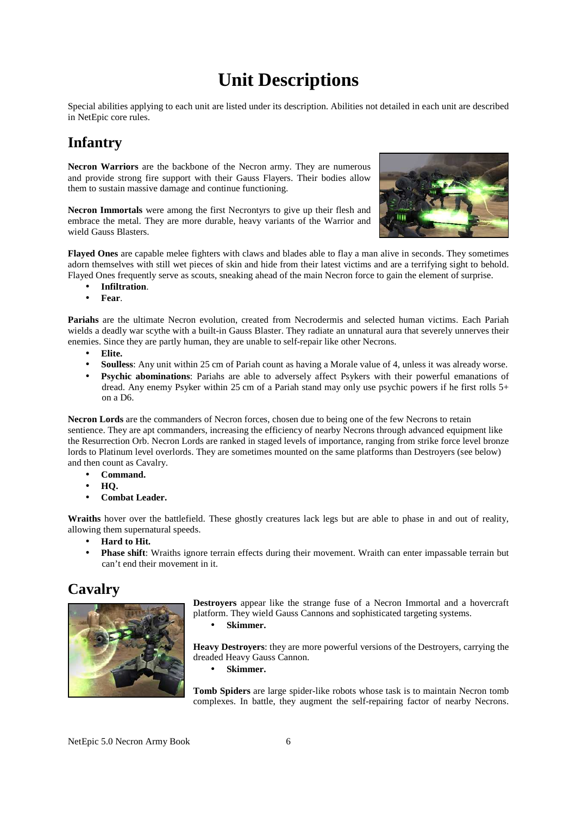# **Unit Descriptions**

Special abilities applying to each unit are listed under its description. Abilities not detailed in each unit are described in NetEpic core rules.

## **Infantry**

**Necron Warriors** are the backbone of the Necron army. They are numerous and provide strong fire support with their Gauss Flayers. Their bodies allow them to sustain massive damage and continue functioning.

**Necron Immortals** were among the first Necrontyrs to give up their flesh and embrace the metal. They are more durable, heavy variants of the Warrior and wield Gauss Blasters.



**Flayed Ones** are capable melee fighters with claws and blades able to flay a man alive in seconds. They sometimes adorn themselves with still wet pieces of skin and hide from their latest victims and are a terrifying sight to behold. Flayed Ones frequently serve as scouts, sneaking ahead of the main Necron force to gain the element of surprise.

- **Infiltration**.
- **Fear**.

**Pariahs** are the ultimate Necron evolution, created from Necrodermis and selected human victims. Each Pariah wields a deadly war scythe with a built-in Gauss Blaster. They radiate an unnatural aura that severely unnerves their enemies. Since they are partly human, they are unable to self-repair like other Necrons.

- **Elite.**
- **Soulless**: Any unit within 25 cm of Pariah count as having a Morale value of 4, unless it was already worse.
- **Psychic abominations**: Pariahs are able to adversely affect Psykers with their powerful emanations of dread. Any enemy Psyker within 25 cm of a Pariah stand may only use psychic powers if he first rolls 5+ on a D6.

**Necron Lords** are the commanders of Necron forces, chosen due to being one of the few Necrons to retain sentience. They are apt commanders, increasing the efficiency of nearby Necrons through advanced equipment like the Resurrection Orb. Necron Lords are ranked in staged levels of importance, ranging from strike force level bronze lords to Platinum level overlords. They are sometimes mounted on the same platforms than Destroyers (see below) and then count as Cavalry.

- **Command.**
- **HQ.**
- **Combat Leader.**

**Wraiths** hover over the battlefield. These ghostly creatures lack legs but are able to phase in and out of reality, allowing them supernatural speeds.

- **Hard to Hit.**
- **Phase shift:** Wraiths ignore terrain effects during their movement. Wraith can enter impassable terrain but can't end their movement in it.

## **Cavalry**



**Destroyers** appear like the strange fuse of a Necron Immortal and a hovercraft platform. They wield Gauss Cannons and sophisticated targeting systems.

• **Skimmer.** 

**Heavy Destroyers**: they are more powerful versions of the Destroyers, carrying the dreaded Heavy Gauss Cannon.

• **Skimmer.** 

**Tomb Spiders** are large spider-like robots whose task is to maintain Necron tomb complexes. In battle, they augment the self-repairing factor of nearby Necrons.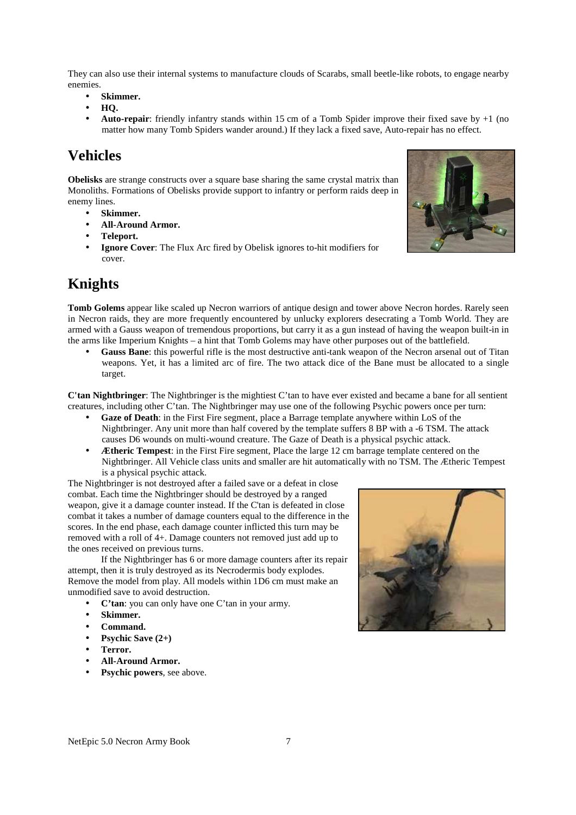They can also use their internal systems to manufacture clouds of Scarabs, small beetle-like robots, to engage nearby enemies.

- **Skimmer.**
- $HO$ .
- **Auto-repair**: friendly infantry stands within 15 cm of a Tomb Spider improve their fixed save by +1 (no matter how many Tomb Spiders wander around.) If they lack a fixed save, Auto-repair has no effect.

#### **Vehicles**

**Obelisks** are strange constructs over a square base sharing the same crystal matrix than Monoliths. Formations of Obelisks provide support to infantry or perform raids deep in enemy lines.

- **Skimmer.**
- **All-Around Armor.**
- **Teleport.**
- **Ignore Cover**: The Flux Arc fired by Obelisk ignores to-hit modifiers for cover.



## **Knights**

**Tomb Golems** appear like scaled up Necron warriors of antique design and tower above Necron hordes. Rarely seen in Necron raids, they are more frequently encountered by unlucky explorers desecrating a Tomb World. They are armed with a Gauss weapon of tremendous proportions, but carry it as a gun instead of having the weapon built-in in the arms like Imperium Knights – a hint that Tomb Golems may have other purposes out of the battlefield.

Gauss Bane: this powerful rifle is the most destructive anti-tank weapon of the Necron arsenal out of Titan weapons. Yet, it has a limited arc of fire. The two attack dice of the Bane must be allocated to a single target.

**C'tan Nightbringer**: The Nightbringer is the mightiest C'tan to have ever existed and became a bane for all sentient creatures, including other C'tan. The Nightbringer may use one of the following Psychic powers once per turn:

- **Gaze of Death**: in the First Fire segment, place a Barrage template anywhere within LoS of the Nightbringer. Any unit more than half covered by the template suffers 8 BP with a -6 TSM. The attack causes D6 wounds on multi-wound creature. The Gaze of Death is a physical psychic attack.
- **Ætheric Tempest**: in the First Fire segment, Place the large 12 cm barrage template centered on the Nightbringer. All Vehicle class units and smaller are hit automatically with no TSM. The Ætheric Tempest is a physical psychic attack.

The Nightbringer is not destroyed after a failed save or a defeat in close combat. Each time the Nightbringer should be destroyed by a ranged weapon, give it a damage counter instead. If the C'tan is defeated in close combat it takes a number of damage counters equal to the difference in the scores. In the end phase, each damage counter inflicted this turn may be removed with a roll of 4+. Damage counters not removed just add up to the ones received on previous turns.

If the Nightbringer has 6 or more damage counters after its repair attempt, then it is truly destroyed as its Necrodermis body explodes. Remove the model from play. All models within 1D6 cm must make an unmodified save to avoid destruction.

- C'tan: you can only have one C'tan in your army.
- **Skimmer.**
- **Command.**
- **Psychic Save (2+)**
- **Terror.**
- **All-Around Armor.**
- **Psychic powers**, see above.

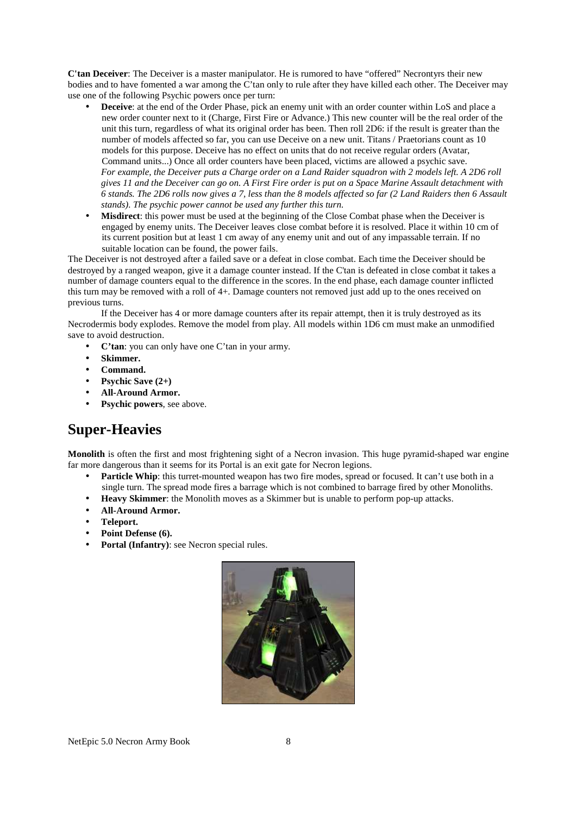**C'tan Deceiver**: The Deceiver is a master manipulator. He is rumored to have "offered" Necrontyrs their new bodies and to have fomented a war among the C'tan only to rule after they have killed each other. The Deceiver may use one of the following Psychic powers once per turn:

- **Deceive**: at the end of the Order Phase, pick an enemy unit with an order counter within LoS and place a new order counter next to it (Charge, First Fire or Advance.) This new counter will be the real order of the unit this turn, regardless of what its original order has been. Then roll 2D6: if the result is greater than the number of models affected so far, you can use Deceive on a new unit. Titans / Praetorians count as 10 models for this purpose. Deceive has no effect on units that do not receive regular orders (Avatar, Command units...) Once all order counters have been placed, victims are allowed a psychic save. *For example, the Deceiver puts a Charge order on a Land Raider squadron with 2 models left. A 2D6 roll gives 11 and the Deceiver can go on. A First Fire order is put on a Space Marine Assault detachment with 6 stands. The 2D6 rolls now gives a 7, less than the 8 models affected so far (2 Land Raiders then 6 Assault stands). The psychic power cannot be used any further this turn.*
- **Misdirect**: this power must be used at the beginning of the Close Combat phase when the Deceiver is engaged by enemy units. The Deceiver leaves close combat before it is resolved. Place it within 10 cm of its current position but at least 1 cm away of any enemy unit and out of any impassable terrain. If no suitable location can be found, the power fails.

The Deceiver is not destroyed after a failed save or a defeat in close combat. Each time the Deceiver should be destroyed by a ranged weapon, give it a damage counter instead. If the C'tan is defeated in close combat it takes a number of damage counters equal to the difference in the scores. In the end phase, each damage counter inflicted this turn may be removed with a roll of 4+. Damage counters not removed just add up to the ones received on previous turns.

If the Deceiver has 4 or more damage counters after its repair attempt, then it is truly destroyed as its Necrodermis body explodes. Remove the model from play. All models within 1D6 cm must make an unmodified save to avoid destruction.

- **C'tan**: you can only have one C'tan in your army.
- **Skimmer.**
- **Command.**
- **Psychic Save (2+)**
- **All-Around Armor.**
- **Psychic powers**, see above.

## **Super-Heavies**

**Monolith** is often the first and most frightening sight of a Necron invasion. This huge pyramid-shaped war engine far more dangerous than it seems for its Portal is an exit gate for Necron legions.

- Particle Whip: this turret-mounted weapon has two fire modes, spread or focused. It can't use both in a single turn. The spread mode fires a barrage which is not combined to barrage fired by other Monoliths.
- **Heavy Skimmer**: the Monolith moves as a Skimmer but is unable to perform pop-up attacks.
- **All-Around Armor.**
- **Teleport.**
- **Point Defense (6).**
- **Portal (Infantry)**: see Necron special rules.

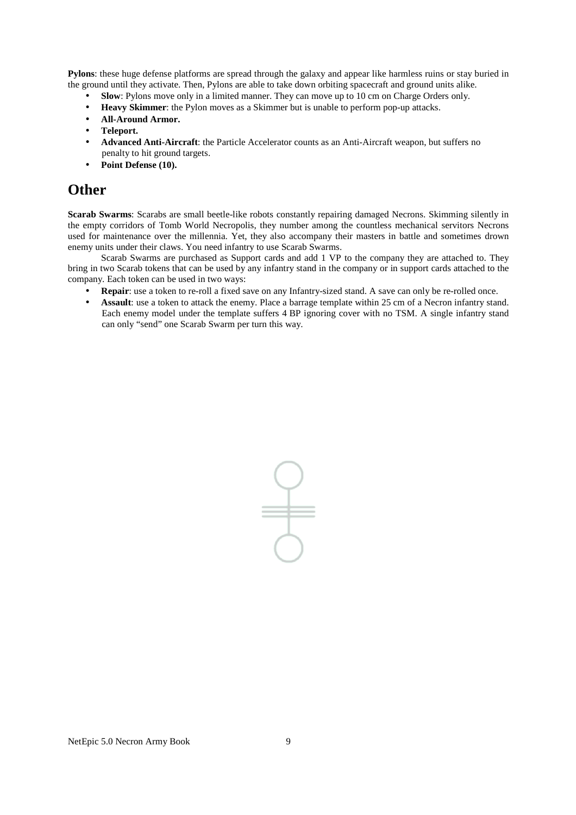**Pylons**: these huge defense platforms are spread through the galaxy and appear like harmless ruins or stay buried in the ground until they activate. Then, Pylons are able to take down orbiting spacecraft and ground units alike.

- **Slow**: Pylons move only in a limited manner. They can move up to 10 cm on Charge Orders only.
- **Heavy Skimmer**: the Pylon moves as a Skimmer but is unable to perform pop-up attacks.
- **All-Around Armor.**
- **Teleport.**
- **Advanced Anti-Aircraft**: the Particle Accelerator counts as an Anti-Aircraft weapon, but suffers no penalty to hit ground targets.
- **Point Defense (10).**

#### **Other**

**Scarab Swarms**: Scarabs are small beetle-like robots constantly repairing damaged Necrons. Skimming silently in the empty corridors of Tomb World Necropolis, they number among the countless mechanical servitors Necrons used for maintenance over the millennia. Yet, they also accompany their masters in battle and sometimes drown enemy units under their claws. You need infantry to use Scarab Swarms.

Scarab Swarms are purchased as Support cards and add 1 VP to the company they are attached to. They bring in two Scarab tokens that can be used by any infantry stand in the company or in support cards attached to the company. Each token can be used in two ways:

- **Repair**: use a token to re-roll a fixed save on any Infantry-sized stand. A save can only be re-rolled once.
- **Assault**: use a token to attack the enemy. Place a barrage template within 25 cm of a Necron infantry stand. Each enemy model under the template suffers 4 BP ignoring cover with no TSM. A single infantry stand can only "send" one Scarab Swarm per turn this way.

 $\frac{1}{\sqrt{2}}$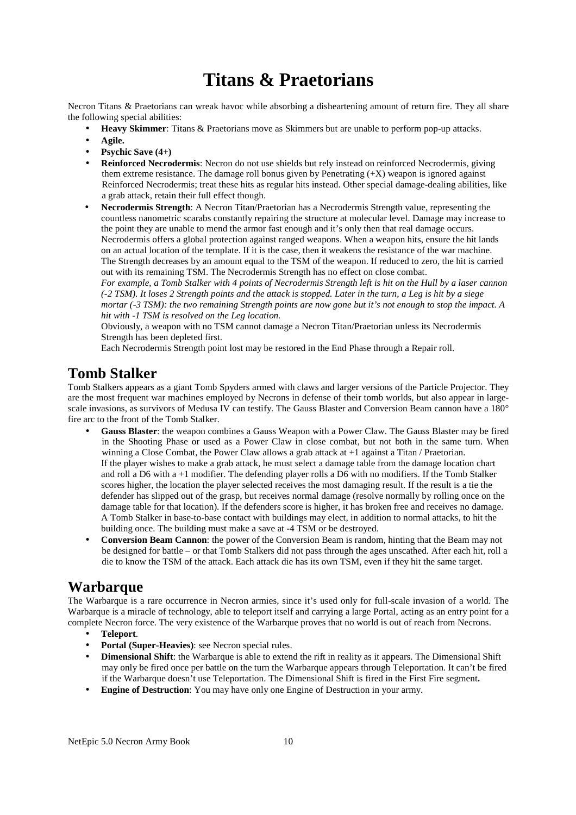## **Titans & Praetorians**

Necron Titans & Praetorians can wreak havoc while absorbing a disheartening amount of return fire. They all share the following special abilities:

- **Heavy Skimmer**: Titans & Praetorians move as Skimmers but are unable to perform pop-up attacks.
- **Agile.**
- **Psychic Save (4+)**
- **Reinforced Necrodermis**: Necron do not use shields but rely instead on reinforced Necrodermis, giving them extreme resistance. The damage roll bonus given by Penetrating  $(+X)$  weapon is ignored against Reinforced Necrodermis; treat these hits as regular hits instead. Other special damage-dealing abilities, like a grab attack, retain their full effect though.
- **Necrodermis Strength**: A Necron Titan/Praetorian has a Necrodermis Strength value, representing the countless nanometric scarabs constantly repairing the structure at molecular level. Damage may increase to the point they are unable to mend the armor fast enough and it's only then that real damage occurs. Necrodermis offers a global protection against ranged weapons. When a weapon hits, ensure the hit lands on an actual location of the template. If it is the case, then it weakens the resistance of the war machine. The Strength decreases by an amount equal to the TSM of the weapon. If reduced to zero, the hit is carried out with its remaining TSM. The Necrodermis Strength has no effect on close combat.

*For example, a Tomb Stalker with 4 points of Necrodermis Strength left is hit on the Hull by a laser cannon (-2 TSM). It loses 2 Strength points and the attack is stopped. Later in the turn, a Leg is hit by a siege mortar (-3 TSM): the two remaining Strength points are now gone but it's not enough to stop the impact. A hit with -1 TSM is resolved on the Leg location.* 

Obviously, a weapon with no TSM cannot damage a Necron Titan/Praetorian unless its Necrodermis Strength has been depleted first.

Each Necrodermis Strength point lost may be restored in the End Phase through a Repair roll.

#### **Tomb Stalker**

Tomb Stalkers appears as a giant Tomb Spyders armed with claws and larger versions of the Particle Projector. They are the most frequent war machines employed by Necrons in defense of their tomb worlds, but also appear in largescale invasions, as survivors of Medusa IV can testify. The Gauss Blaster and Conversion Beam cannon have a 180° fire arc to the front of the Tomb Stalker.

- **Gauss Blaster**: the weapon combines a Gauss Weapon with a Power Claw. The Gauss Blaster may be fired in the Shooting Phase or used as a Power Claw in close combat, but not both in the same turn. When winning a Close Combat, the Power Claw allows a grab attack at +1 against a Titan / Praetorian. If the player wishes to make a grab attack, he must select a damage table from the damage location chart and roll a D6 with a +1 modifier. The defending player rolls a D6 with no modifiers. If the Tomb Stalker scores higher, the location the player selected receives the most damaging result. If the result is a tie the defender has slipped out of the grasp, but receives normal damage (resolve normally by rolling once on the damage table for that location). If the defenders score is higher, it has broken free and receives no damage. A Tomb Stalker in base-to-base contact with buildings may elect, in addition to normal attacks, to hit the building once. The building must make a save at -4 TSM or be destroyed.
- **Conversion Beam Cannon**: the power of the Conversion Beam is random, hinting that the Beam may not be designed for battle – or that Tomb Stalkers did not pass through the ages unscathed. After each hit, roll a die to know the TSM of the attack. Each attack die has its own TSM, even if they hit the same target.

#### **Warbarque**

The Warbarque is a rare occurrence in Necron armies, since it's used only for full-scale invasion of a world. The Warbarque is a miracle of technology, able to teleport itself and carrying a large Portal, acting as an entry point for a complete Necron force. The very existence of the Warbarque proves that no world is out of reach from Necrons.

- **Teleport**.
- **Portal (Super-Heavies)**: see Necron special rules.
- **Dimensional Shift**: the Warbarque is able to extend the rift in reality as it appears. The Dimensional Shift may only be fired once per battle on the turn the Warbarque appears through Teleportation. It can't be fired if the Warbarque doesn't use Teleportation. The Dimensional Shift is fired in the First Fire segment**.**
- **Engine of Destruction:** You may have only one Engine of Destruction in your army.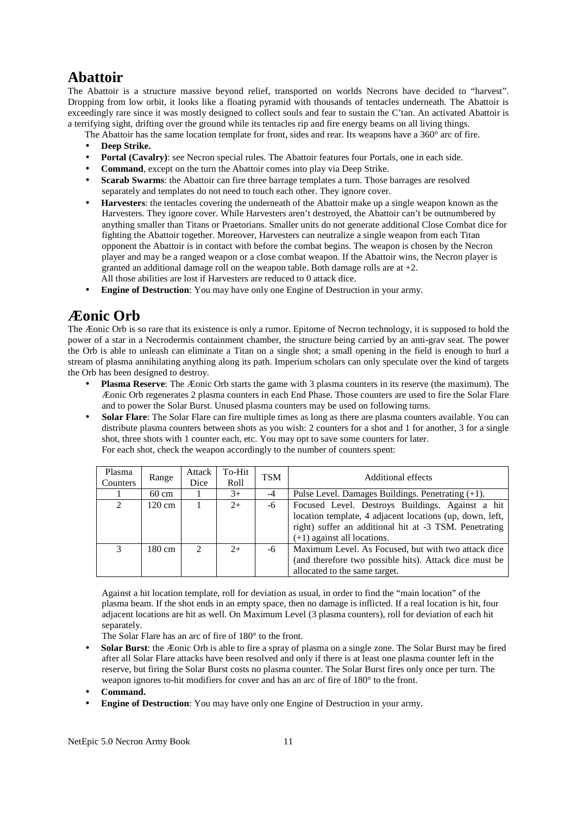### **Abattoir**

The Abattoir is a structure massive beyond relief, transported on worlds Necrons have decided to "harvest". Dropping from low orbit, it looks like a floating pyramid with thousands of tentacles underneath. The Abattoir is exceedingly rare since it was mostly designed to collect souls and fear to sustain the C'tan. An activated Abattoir is a terrifying sight, drifting over the ground while its tentacles rip and fire energy beams on all living things.

- The Abattoir has the same location template for front, sides and rear. Its weapons have a 360° arc of fire.
- **Deep Strike.**
- **Portal (Cavalry)**: see Necron special rules. The Abattoir features four Portals, one in each side.
- **Command**, except on the turn the Abattoir comes into play via Deep Strike.
- **Scarab Swarms**: the Abattoir can fire three barrage templates a turn. Those barrages are resolved separately and templates do not need to touch each other. They ignore cover.
- **Harvesters**: the tentacles covering the underneath of the Abattoir make up a single weapon known as the Harvesters. They ignore cover. While Harvesters aren't destroyed, the Abattoir can't be outnumbered by anything smaller than Titans or Praetorians. Smaller units do not generate additional Close Combat dice for fighting the Abattoir together. Moreover, Harvesters can neutralize a single weapon from each Titan opponent the Abattoir is in contact with before the combat begins. The weapon is chosen by the Necron player and may be a ranged weapon or a close combat weapon. If the Abattoir wins, the Necron player is granted an additional damage roll on the weapon table. Both damage rolls are at +2. All those abilities are lost if Harvesters are reduced to 0 attack dice.
- **Engine of Destruction**: You may have only one Engine of Destruction in your army.

#### **Æonic Orb**

The Æonic Orb is so rare that its existence is only a rumor. Epitome of Necron technology, it is supposed to hold the power of a star in a Necrodermis containment chamber, the structure being carried by an anti-grav seat. The power the Orb is able to unleash can eliminate a Titan on a single shot; a small opening in the field is enough to hurl a stream of plasma annihilating anything along its path. Imperium scholars can only speculate over the kind of targets the Orb has been designed to destroy.

- **Plasma Reserve**: The Æonic Orb starts the game with 3 plasma counters in its reserve (the maximum). The Æonic Orb regenerates 2 plasma counters in each End Phase. Those counters are used to fire the Solar Flare and to power the Solar Burst. Unused plasma counters may be used on following turns.
- **Solar Flare**: The Solar Flare can fire multiple times as long as there are plasma counters available. You can distribute plasma counters between shots as you wish: 2 counters for a shot and 1 for another, 3 for a single shot, three shots with 1 counter each, etc. You may opt to save some counters for later. For each shot, check the weapon accordingly to the number of counters spent:

| Plasma<br>Counters          | Range            | Attack<br>Dice | To-Hit<br>Roll | <b>TSM</b> | <b>Additional effects</b>                                                                                                                                                                               |
|-----------------------------|------------------|----------------|----------------|------------|---------------------------------------------------------------------------------------------------------------------------------------------------------------------------------------------------------|
|                             | $60 \text{ cm}$  |                | $3+$           | -4         | Pulse Level. Damages Buildings. Penetrating $(+1)$ .                                                                                                                                                    |
| $\mathcal{D}_{\mathcal{L}}$ | $120 \text{ cm}$ |                | $2+$           | -6         | Focused Level. Destroys Buildings. Against a hit<br>location template, 4 adjacent locations (up, down, left,<br>right) suffer an additional hit at -3 TSM. Penetrating<br>$(+1)$ against all locations. |
| $\mathcal{R}$               | 180 cm           | $\mathfrak{D}$ | $2^{+}$        | -6         | Maximum Level. As Focused, but with two attack dice<br>(and therefore two possible hits). Attack dice must be<br>allocated to the same target.                                                          |

Against a hit location template, roll for deviation as usual, in order to find the "main location" of the plasma beam. If the shot ends in an empty space, then no damage is inflicted. If a real location is hit, four adjacent locations are hit as well. On Maximum Level (3 plasma counters), roll for deviation of each hit separately.

The Solar Flare has an arc of fire of 180° to the front.

• **Solar Burst**: the Æonic Orb is able to fire a spray of plasma on a single zone. The Solar Burst may be fired after all Solar Flare attacks have been resolved and only if there is at least one plasma counter left in the reserve, but firing the Solar Burst costs no plasma counter. The Solar Burst fires only once per turn. The weapon ignores to-hit modifiers for cover and has an arc of fire of 180° to the front.

**Engine of Destruction**: You may have only one Engine of Destruction in your army.

<sup>•</sup> **Command.**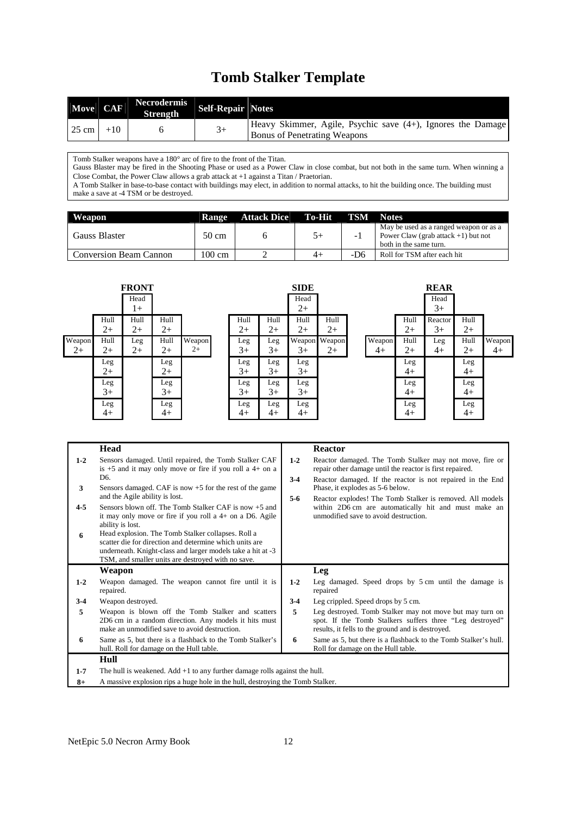## **Tomb Stalker Template**

| $Move$ $CAF$    |       | Necrodermis Self-Repair Notes<br><b>Strength</b> |    |                                                                                                    |
|-----------------|-------|--------------------------------------------------|----|----------------------------------------------------------------------------------------------------|
| $25 \text{ cm}$ | $+10$ |                                                  | 3+ | Heavy Skimmer, Agile, Psychic save (4+), Ignores the Damage<br><b>Bonus of Penetrating Weapons</b> |

Tomb Stalker weapons have a 180° arc of fire to the front of the Titan.

Gauss Blaster may be fired in the Shooting Phase or used as a Power Claw in close combat, but not both in the same turn. When winning a Close Combat, the Power Claw allows a grab attack at +1 against a Titan / Praetorian.

A Tomb Stalker in base-to-base contact with buildings may elect, in addition to normal attacks, to hit the building once. The building must make a save at -4 TSM or be destroyed.

| Weapon                        | <b>Range</b>     | <b>Attack Dice To-Hit</b> |      | TSM | <b>Notes</b>                                                                                               |
|-------------------------------|------------------|---------------------------|------|-----|------------------------------------------------------------------------------------------------------------|
| Gauss Blaster                 | 50 cm            |                           | $5+$ | - 1 | May be used as a ranged weapon or as a<br>Power Claw (grab attack $+1$ ) but not<br>both in the same turn. |
| <b>Conversion Beam Cannon</b> | $100 \text{ cm}$ |                           | 4+   | -D6 | Roll for TSM after each hit                                                                                |

|                |              | <b>FRONT</b><br>Head<br>$1+$ |              |                |                 |              | <b>SIDE</b><br>Head<br>$^{2+}$ |                |              |                 | <b>REAR</b><br>Head<br>$3+$ |              |              |
|----------------|--------------|------------------------------|--------------|----------------|-----------------|--------------|--------------------------------|----------------|--------------|-----------------|-----------------------------|--------------|--------------|
|                | Hull<br>$2+$ | Hull<br>$2+$                 | Hull<br>$2+$ |                | Hull<br>$^{2+}$ | Hull<br>$2+$ | Hull<br>$2+$                   | Hull<br>$2+$   |              | Hull<br>$^{2+}$ | Reactor<br>$3+$             | Hull<br>$2+$ |              |
| Weapon<br>$2+$ | Hull<br>$2+$ | Leg<br>$^{2+}$               | Hull<br>$2+$ | Weapon<br>$2+$ | Leg<br>$3+$     | Leg<br>$3+$  | Weapon<br>$3+$                 | Weapon<br>$2+$ | Weapon<br>4+ | Hull<br>$2+$    | Leg<br>$4+$                 | Hull<br>$2+$ | Weapon<br>4+ |
|                | Leg<br>$2+$  |                              | Leg<br>$2+$  |                | Leg<br>$3+$     | Leg<br>$3+$  | Leg<br>$3+$                    |                |              | Leg<br>4+       |                             | Leg<br>$4+$  |              |
|                | Leg<br>$3+$  |                              | Leg<br>$3+$  |                | Leg<br>$3+$     | Leg<br>$3+$  | Leg<br>$3+$                    |                |              | Leg<br>4+       |                             | Leg<br>$4+$  |              |
|                | Leg<br>4+    |                              | Leg<br>4+    |                | Leg<br>4+       | Leg<br>$4+$  | Leg<br>4+                      |                |              | Leg<br>4+       |                             | Leg<br>4+    |              |

|                 | Head                                                                                                                                                                                                                                                                                                                                                                                                                                                                         |                | <b>Reactor</b>                                                                                                                                                                                 |
|-----------------|------------------------------------------------------------------------------------------------------------------------------------------------------------------------------------------------------------------------------------------------------------------------------------------------------------------------------------------------------------------------------------------------------------------------------------------------------------------------------|----------------|------------------------------------------------------------------------------------------------------------------------------------------------------------------------------------------------|
| $1-2$           | Sensors damaged. Until repaired, the Tomb Stalker CAF<br>is $+5$ and it may only move or fire if you roll a $4+$ on a<br>D6.                                                                                                                                                                                                                                                                                                                                                 | $1-2$<br>$3-4$ | Reactor damaged. The Tomb Stalker may not move, fire or<br>repair other damage until the reactor is first repaired.<br>Reactor damaged. If the reactor is not repaired in the End              |
| 3<br>$4-5$<br>6 | Sensors damaged. CAF is now $+5$ for the rest of the game<br>and the Agile ability is lost.<br>Sensors blown off. The Tomb Stalker CAF is now +5 and<br>it may only move or fire if you roll a $4+$ on a D6. Agile<br>ability is lost.<br>Head explosion. The Tomb Stalker collapses. Roll a<br>scatter die for direction and determine which units are<br>underneath. Knight-class and larger models take a hit at -3<br>TSM, and smaller units are destroyed with no save. | 5-6            | Phase, it explodes as 5-6 below.<br>Reactor explodes! The Tomb Stalker is removed. All models<br>within 2D6 cm are automatically hit and must make an<br>unmodified save to avoid destruction. |
|                 |                                                                                                                                                                                                                                                                                                                                                                                                                                                                              |                |                                                                                                                                                                                                |
|                 | Weapon                                                                                                                                                                                                                                                                                                                                                                                                                                                                       |                | Leg                                                                                                                                                                                            |
| $1-2$           | Weapon damaged. The weapon cannot fire until it is<br>repaired.                                                                                                                                                                                                                                                                                                                                                                                                              | $1-2$          | Leg damaged. Speed drops by 5 cm until the damage is<br>repaired                                                                                                                               |
| $3-4$           | Weapon destroyed.                                                                                                                                                                                                                                                                                                                                                                                                                                                            | $3-4$          | Leg crippled. Speed drops by 5 cm.                                                                                                                                                             |
| 5               | Weapon is blown off the Tomb Stalker and scatters<br>2D6 cm in a random direction. Any models it hits must<br>make an unmodified save to avoid destruction.                                                                                                                                                                                                                                                                                                                  | 5              | Leg destroyed. Tomb Stalker may not move but may turn on<br>spot. If the Tomb Stalkers suffers three "Leg destroyed"<br>results, it fells to the ground and is destroyed.                      |
| 6               | Same as 5, but there is a flashback to the Tomb Stalker's<br>hull. Roll for damage on the Hull table.                                                                                                                                                                                                                                                                                                                                                                        | 6              | Same as 5, but there is a flashback to the Tomb Stalker's hull.<br>Roll for damage on the Hull table.                                                                                          |
|                 | Hull                                                                                                                                                                                                                                                                                                                                                                                                                                                                         |                |                                                                                                                                                                                                |
| $1-7$           | The hull is weakened. Add $+1$ to any further damage rolls against the hull.                                                                                                                                                                                                                                                                                                                                                                                                 |                |                                                                                                                                                                                                |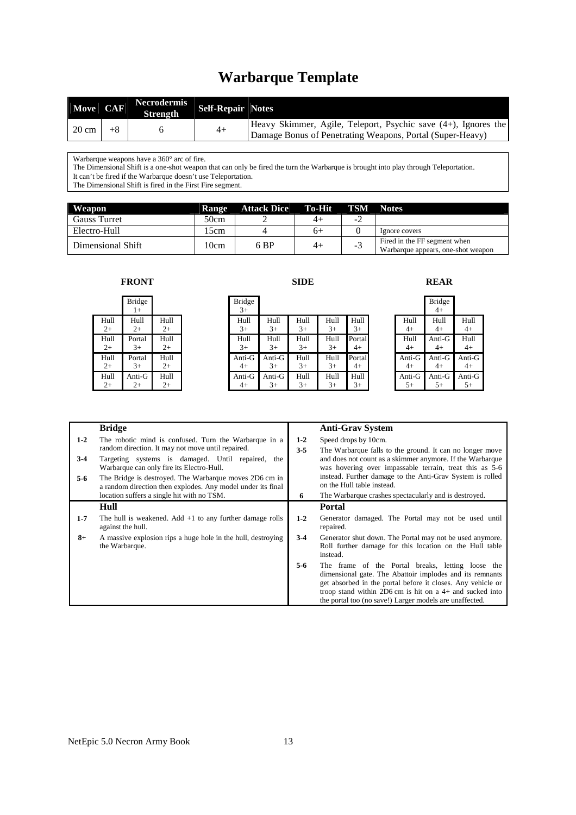## **Warbarque Template**

| $Move$ $CAF$    | Necrodermis Self-Repair Notes<br><b>Strength</b> |    |                                                                                                                             |
|-----------------|--------------------------------------------------|----|-----------------------------------------------------------------------------------------------------------------------------|
| $20 \text{ cm}$ |                                                  | 4+ | Heavy Skimmer, Agile, Teleport, Psychic save (4+), Ignores the<br>Damage Bonus of Penetrating Weapons, Portal (Super-Heavy) |

Warbarque weapons have a 360° arc of fire.

The Dimensional Shift is a one-shot weapon that can only be fired the turn the Warbarque is brought into play through Teleportation.

It can't be fired if the Warbarque doesn't use Teleportation.

The Dimensional Shift is fired in the First Fire segment.

| Weapon            | Range | <b>Attack Dice To-Hit</b> |             | TSM | <b>Notes</b>                                                       |
|-------------------|-------|---------------------------|-------------|-----|--------------------------------------------------------------------|
| Gauss Turret      | 50cm  |                           | 4+          | -2  |                                                                    |
| Electro-Hull      | 15cm  |                           | $6+$        |     | Ignore covers                                                      |
| Dimensional Shift | 10cm  | 6 BP                      | $4+$<br>- 3 |     | Fired in the FF segment when<br>Warbarque appears, one-shot weapon |

**FRONT** SIDE REAR

|      | <b>Bridge</b><br>$1+$ |      |
|------|-----------------------|------|
| Hull | Hull                  | Hull |
| $2+$ | $2+$                  | $2+$ |
| Hull | Portal                | Hull |
| $2+$ | $3+$                  | $2+$ |
| Hull | Portal                | Hull |
| $2+$ | $3+$                  | $2+$ |
| Hull | Anti-G                | Hull |
| $2+$ | $2+$                  | $2+$ |

| Bridge<br>$3+$ |        |      |      |        |
|----------------|--------|------|------|--------|
| Hull           | Hull   | Hull | Hull | Hull   |
| $3+$           | $3+$   | $3+$ | $3+$ | $3+$   |
| Hull           | Hull   | Hull | Hull | Portal |
| $3+$           | $3+$   | $3+$ | $3+$ | $4+$   |
| Anti-G         | Anti-G | Hull | Hull | Portal |
| $4+$           | $3+$   | $3+$ | $3+$ | $4+$   |
| Anti-G         | Anti-G | Hull | Hull | Hull   |
| 4+             | $3+$   | $3+$ | $3+$ | $3+$   |

|                | <b>Bridge</b> |                |
|----------------|---------------|----------------|
|                | $^{4+}$       |                |
| Hull           | Hull          | Hull           |
| $4+$           | $4+$          | $4+$           |
| H <sub>U</sub> | Anti-G        | H <sub>U</sub> |
| $4+$           | $4+$          | $4+$           |
| Anti-G         | Anti-G        | Anti-G         |
| $4+$           | 4+            | $4+$           |
| Anti-G         | Anti-G        | Anti-G         |
| $5+$           | $5+$          | $5+$           |
|                |               |                |

|       | <b>Bridge</b>                                                                                                         |       | <b>Anti-Grav System</b>                                                                                                                                                                                                                                                                               |
|-------|-----------------------------------------------------------------------------------------------------------------------|-------|-------------------------------------------------------------------------------------------------------------------------------------------------------------------------------------------------------------------------------------------------------------------------------------------------------|
| $1-2$ | The robotic mind is confused. Turn the Warbarque in a                                                                 | $1-2$ | Speed drops by 10cm.                                                                                                                                                                                                                                                                                  |
|       | random direction. It may not move until repaired.                                                                     | $3-5$ | The Warbarque falls to the ground. It can no longer move                                                                                                                                                                                                                                              |
| $3-4$ | Targeting systems is damaged. Until repaired, the<br>Warbarque can only fire its Electro-Hull.                        |       | and does not count as a skimmer anymore. If the Warbarque<br>was hovering over impassable terrain, treat this as 5-6                                                                                                                                                                                  |
| $5-6$ | The Bridge is destroyed. The Warbarque moves 2D6 cm in<br>a random direction then explodes. Any model under its final |       | instead. Further damage to the Anti-Grav System is rolled<br>on the Hull table instead.                                                                                                                                                                                                               |
|       | location suffers a single hit with no TSM.                                                                            | 6     | The Warbarque crashes spectacularly and is destroyed.                                                                                                                                                                                                                                                 |
|       | Hull                                                                                                                  |       | Portal                                                                                                                                                                                                                                                                                                |
| $1-7$ | The hull is weakened. Add $+1$ to any further damage rolls<br>against the hull.                                       | $1-2$ | Generator damaged. The Portal may not be used until<br>repaired.                                                                                                                                                                                                                                      |
| $8+$  | A massive explosion rips a huge hole in the hull, destroying<br>the Warbarque.                                        | $3-4$ | Generator shut down. The Portal may not be used anymore.<br>Roll further damage for this location on the Hull table<br>instead.                                                                                                                                                                       |
|       |                                                                                                                       | $5-6$ | The frame of the Portal breaks, letting loose the<br>dimensional gate. The Abattoir implodes and its remnants<br>get absorbed in the portal before it closes. Any vehicle or<br>troop stand within 2D6 cm is hit on a $4+$ and sucked into<br>the portal too (no save!) Larger models are unaffected. |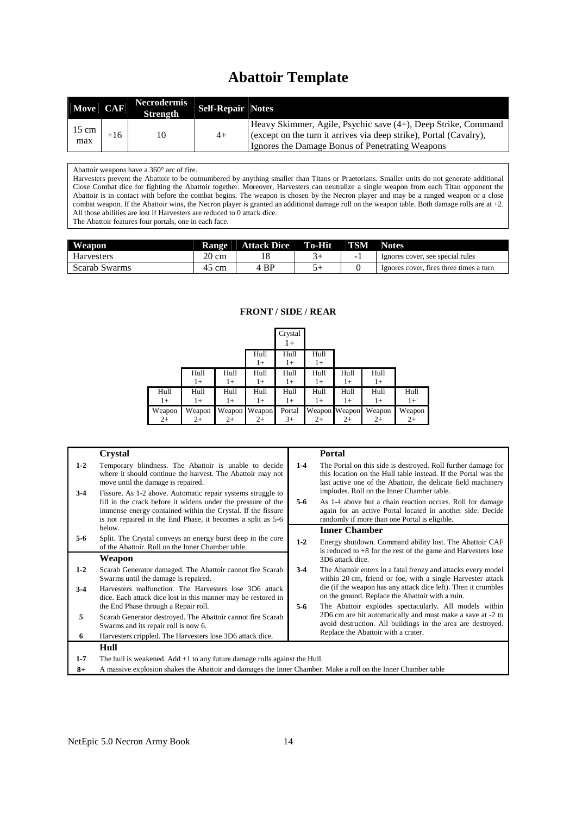#### **Abattoir Template**

| Move   CAF             |     | Necrodermis<br><b>Strength</b> | Self-Repair Notes |                                                                                                                                                                                        |
|------------------------|-----|--------------------------------|-------------------|----------------------------------------------------------------------------------------------------------------------------------------------------------------------------------------|
| $15 \text{ cm}$<br>max | +16 | 10                             | 4+                | Heavy Skimmer, Agile, Psychic save (4+), Deep Strike, Command<br>(except on the turn it arrives via deep strike), Portal (Cavalry),<br>Ignores the Damage Bonus of Penetrating Weapons |

Abattoir weapons have a 360° arc of fire.

Harvesters prevent the Abattoir to be outnumbered by anything smaller than Titans or Praetorians. Smaller units do not generate additional Close Combat dice for fighting the Abattoir together. Moreover, Harvesters can neutralize a single weapon from each Titan opponent the Abattoir is in contact with before the combat begins. The weapon is chosen by the Necron player and may be a ranged weapon or a close combat weapon. If the Abattoir wins, the Necron player is granted an additional damage roll on the weapon table. Both damage rolls are at +2. All those abilities are lost if Harvesters are reduced to 0 attack dice.

The Abattoir features four portals, one in each face.

| <b>Weapon</b>     | <b>Range</b> | <b>Attack Dice</b> | <b>To-Hit</b> | TSM | <b>Notes</b>                            |
|-------------------|--------------|--------------------|---------------|-----|-----------------------------------------|
| <b>Harvesters</b> | 20 cm        |                    |               |     | Ignores cover, see special rules        |
| Scarab Swarms     | 45 cm        | 4 BP               |               |     | Ignores cover, fires three times a turn |

|                |                |                |                | Crystal<br>$1+$ |              |                       |                |                 |
|----------------|----------------|----------------|----------------|-----------------|--------------|-----------------------|----------------|-----------------|
|                |                |                | Hull<br>$1+$   | Hull<br>$1+$    | Hull<br>$1+$ |                       |                |                 |
|                | Hull<br>$1+$   | Hull<br>$1+$   | Hull<br>$1+$   | Hull<br>$1+$    | Hull<br>$1+$ | Hull<br>$1+$          | Hull<br>$1+$   |                 |
| Hull<br>$1+$   | Hull<br>$1+$   | Hull<br>$1+$   | Hull<br>$1+$   | Hull<br>$1+$    | Hull<br>$1+$ | Hull<br>$1+$          | Hull<br>$1+$   | Hull<br>$^{1+}$ |
| Weapon<br>$2+$ | Weapon<br>$2+$ | Weapon<br>$2+$ | Weapon<br>$2+$ | Portal<br>$3+$  | $2+$         | Weapon Weapon<br>$2+$ | Weapon<br>$2+$ | Weapon<br>$2+$  |

#### **FRONT / SIDE / REAR**

|         | Crystal                                                                                                                                                                                                                                                   |       | <b>Portal</b>                                                                                                                                                                                                          |
|---------|-----------------------------------------------------------------------------------------------------------------------------------------------------------------------------------------------------------------------------------------------------------|-------|------------------------------------------------------------------------------------------------------------------------------------------------------------------------------------------------------------------------|
| $1 - 2$ | Temporary blindness. The Abattoir is unable to decide<br>where it should continue the harvest. The Abattoir may not<br>move until the damage is repaired.                                                                                                 | $1-4$ | The Portal on this side is destroyed. Roll further damage for<br>this location on the Hull table instead. If the Portal was the<br>last active one of the Abattoir, the delicate field machinery                       |
| $3-4$   | Fissure. As 1-2 above. Automatic repair systems struggle to<br>fill in the crack before it widens under the pressure of the<br>immense energy contained within the Crystal. If the fissure<br>is not repaired in the End Phase, it becomes a split as 5-6 | $5-6$ | implodes. Roll on the Inner Chamber table.<br>As 1-4 above but a chain reaction occurs. Roll for damage<br>again for an active Portal located in another side. Decide<br>randomly if more than one Portal is eligible. |
|         | below.                                                                                                                                                                                                                                                    |       | <b>Inner Chamber</b>                                                                                                                                                                                                   |
| $5-6$   | Split. The Crystal conveys an energy burst deep in the core<br>of the Abattoir. Roll on the Inner Chamber table.                                                                                                                                          | $1-2$ | Energy shutdown. Command ability lost. The Abattoir CAF<br>is reduced to $+8$ for the rest of the game and Harvesters lose                                                                                             |
|         | Weapon                                                                                                                                                                                                                                                    |       | 3D6 attack dice.                                                                                                                                                                                                       |
| $1 - 2$ | Scarab Generator damaged. The Abattoir cannot fire Scarab<br>Swarms until the damage is repaired.                                                                                                                                                         | $3-4$ | The Abattoir enters in a fatal frenzy and attacks every model<br>within 20 cm, friend or foe, with a single Harvester attack                                                                                           |
| $3-4$   | Harvesters malfunction. The Harvesters lose 3D6 attack<br>dice. Each attack dice lost in this manner may be restored in                                                                                                                                   |       | die (if the weapon has any attack dice left). Then it crumbles<br>on the ground. Replace the Abattoir with a ruin.                                                                                                     |
|         | the End Phase through a Repair roll.                                                                                                                                                                                                                      | $5-6$ | The Abattoir explodes spectacularly. All models within                                                                                                                                                                 |
| 5       | Scarab Generator destroyed. The Abattoir cannot fire Scarab<br>Swarms and its repair roll is now 6.                                                                                                                                                       |       | 2D6 cm are hit automatically and must make a save at -2 to<br>avoid destruction. All buildings in the area are destroyed.                                                                                              |
| 6       | Harvesters crippled. The Harvesters lose 3D6 attack dice.                                                                                                                                                                                                 |       | Replace the Abattoir with a crater.                                                                                                                                                                                    |
|         | Hull                                                                                                                                                                                                                                                      |       |                                                                                                                                                                                                                        |
| $1-7$   | The hull is weakened. Add $+1$ to any future damage rolls against the Hull.                                                                                                                                                                               |       |                                                                                                                                                                                                                        |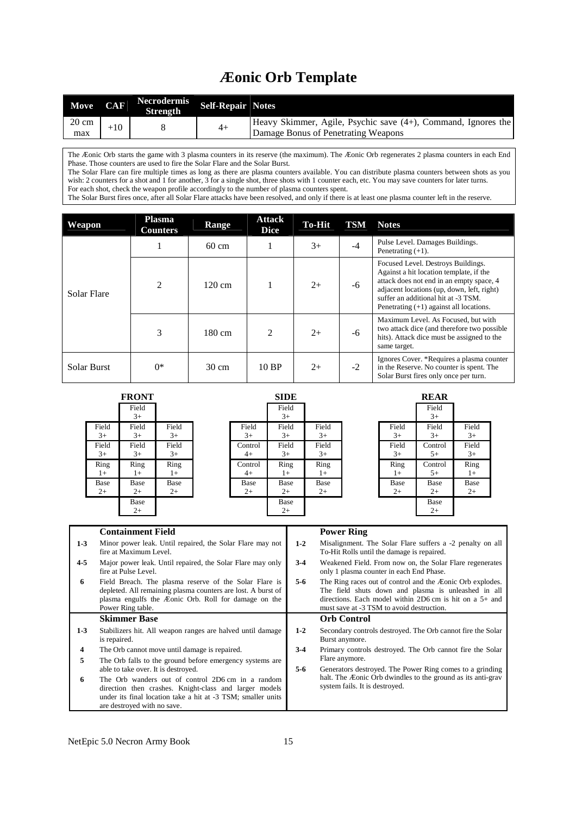### **Æonic Orb Template**

| Move            | <b>CAF</b> | <b>Necrodermis</b><br><b>Strength</b> | Self-Repair Notes |                                                               |
|-----------------|------------|---------------------------------------|-------------------|---------------------------------------------------------------|
| $20 \text{ cm}$ | +10        |                                       | 4+                | Heavy Skimmer, Agile, Psychic save (4+), Command, Ignores the |
| max             |            |                                       |                   | Damage Bonus of Penetrating Weapons                           |

The Æonic Orb starts the game with 3 plasma counters in its reserve (the maximum). The Æonic Orb regenerates 2 plasma counters in each End Phase. Those counters are used to fire the Solar Flare and the Solar Burst. The Solar Flare can fire multiple times as long as there are plasma counters available. You can distribute plasma counters between shots as you

wish: 2 counters for a shot and 1 for another, 3 for a single shot, three shots with 1 counter each, etc. You may save counters for later turns. For each shot, check the weapon profile accordingly to the number of plasma counters spent.

The Solar Burst fires once, after all Solar Flare attacks have been resolved, and only if there is at least one plasma counter left in the reserve.

| Weapon                                | <b>Plasma</b><br><b>Counters</b> | Range            | <b>Attack</b><br><b>Dice</b> | <b>To-Hit</b> | <b>TSM</b>                                                                                                                     | <b>Notes</b>                                                                                                                                                                                                                                                |
|---------------------------------------|----------------------------------|------------------|------------------------------|---------------|--------------------------------------------------------------------------------------------------------------------------------|-------------------------------------------------------------------------------------------------------------------------------------------------------------------------------------------------------------------------------------------------------------|
|                                       |                                  | $60 \text{ cm}$  |                              | $3+$          | $-4$                                                                                                                           | Pulse Level. Damages Buildings.<br>Penetrating $(+1)$ .                                                                                                                                                                                                     |
| Solar Flare                           | 2                                | $120 \text{ cm}$ |                              | $2+$          | -6                                                                                                                             | Focused Level. Destroys Buildings.<br>Against a hit location template, if the<br>attack does not end in an empty space, 4<br>adjacent locations (up, down, left, right)<br>suffer an additional hit at -3 TSM.<br>Penetrating $(+1)$ against all locations. |
|                                       | 3                                | $180 \text{ cm}$ | $\mathfrak{D}$               | $2+$          | -6                                                                                                                             | Maximum Level. As Focused, but with<br>two attack dice (and therefore two possible<br>hits). Attack dice must be assigned to the<br>same target.                                                                                                            |
| $0*$<br>10 BP<br>Solar Burst<br>30 cm |                                  |                  | $2+$                         | $-2$          | Ignores Cover. *Requires a plasma counter<br>in the Reserve. No counter is spent. The<br>Solar Burst fires only once per turn. |                                                                                                                                                                                                                                                             |

|               | <b>FRONT</b>             |               |                 | <b>SIDE</b>   |               |                   |               | <b>REAR</b>     |               |
|---------------|--------------------------|---------------|-----------------|---------------|---------------|-------------------|---------------|-----------------|---------------|
|               | Field<br>$3+$            |               |                 | Field<br>$3+$ |               |                   |               | Field<br>$3+$   |               |
| Field<br>$3+$ | Field<br>$3+$            | Field<br>$3+$ | Field<br>$3+$   | Field<br>$3+$ | Field<br>$3+$ |                   | Field<br>$3+$ | Field<br>$3+$   | Field<br>$3+$ |
| Field<br>$3+$ | Field<br>$3+$            | Field<br>$3+$ | Control<br>$4+$ | Field<br>$3+$ | Field<br>$3+$ |                   | Field<br>$3+$ | Control<br>$5+$ | Field<br>$3+$ |
| Ring<br>$1+$  | Ring<br>$1+$             | Ring<br>$1+$  | Control<br>$4+$ | Ring<br>$1+$  | Ring<br>$1+$  |                   | Ring<br>$1+$  | Control<br>$5+$ | Ring<br>$1+$  |
| Base<br>$2+$  | Base<br>$2+$             | Base<br>$2+$  | Base<br>$2+$    | Base<br>$2+$  | Base<br>$2+$  |                   | Base<br>$2+$  | Base<br>$2+$    | Base<br>$2+$  |
|               | Base<br>$2+$             |               |                 | Base<br>$2+$  |               |                   |               | Base<br>$2+$    |               |
|               | <b>Containment Field</b> |               |                 |               |               | <b>Power Ring</b> |               |                 |               |

|       | <b>Containment Field</b>                                                                                                                                                                                   |         | <b>Power Ring</b>                                                                                                                                                                                                          |
|-------|------------------------------------------------------------------------------------------------------------------------------------------------------------------------------------------------------------|---------|----------------------------------------------------------------------------------------------------------------------------------------------------------------------------------------------------------------------------|
| $1-3$ | Minor power leak. Until repaired, the Solar Flare may not<br>fire at Maximum Level.                                                                                                                        | $1 - 2$ | Misalignment. The Solar Flare suffers a -2 penalty on all<br>To-Hit Rolls until the damage is repaired.                                                                                                                    |
| $4-5$ | Major power leak. Until repaired, the Solar Flare may only<br>fire at Pulse Level.                                                                                                                         | $3-4$   | Weakened Field. From now on, the Solar Flare regenerates<br>only 1 plasma counter in each End Phase.                                                                                                                       |
| 6     | Field Breach. The plasma reserve of the Solar Flare is<br>depleted. All remaining plasma counters are lost. A burst of<br>plasma engulfs the Æonic Orb. Roll for damage on the<br>Power Ring table.        | 5-6     | The Ring races out of control and the Æonic Orb explodes.<br>The field shuts down and plasma is unleashed in all<br>directions. Each model within 2D6 cm is hit on a $5+$ and<br>must save at -3 TSM to avoid destruction. |
|       | <b>Skimmer Base</b>                                                                                                                                                                                        |         | <b>Orb Control</b>                                                                                                                                                                                                         |
| $1-3$ | Stabilizers hit. All weapon ranges are halved until damage<br>is repaired.                                                                                                                                 | $1-2$   | Secondary controls destroyed. The Orb cannot fire the Solar<br>Burst anymore.                                                                                                                                              |
| 4     | The Orb cannot move until damage is repaired.                                                                                                                                                              | $3-4$   | Primary controls destroyed. The Orb cannot fire the Solar                                                                                                                                                                  |
| 5     | The Orb falls to the ground before emergency systems are                                                                                                                                                   | $5-6$   | Flare anymore.                                                                                                                                                                                                             |
|       | able to take over. It is destroved.                                                                                                                                                                        |         | Generators destroyed. The Power Ring comes to a grinding                                                                                                                                                                   |
| 6     | The Orb wanders out of control 2D6 cm in a random<br>direction then crashes. Knight-class and larger models<br>under its final location take a hit at -3 TSM; smaller units<br>are destroyed with no save. |         | halt. The Æonic Orb dwindles to the ground as its anti-grav<br>system fails. It is destroyed.                                                                                                                              |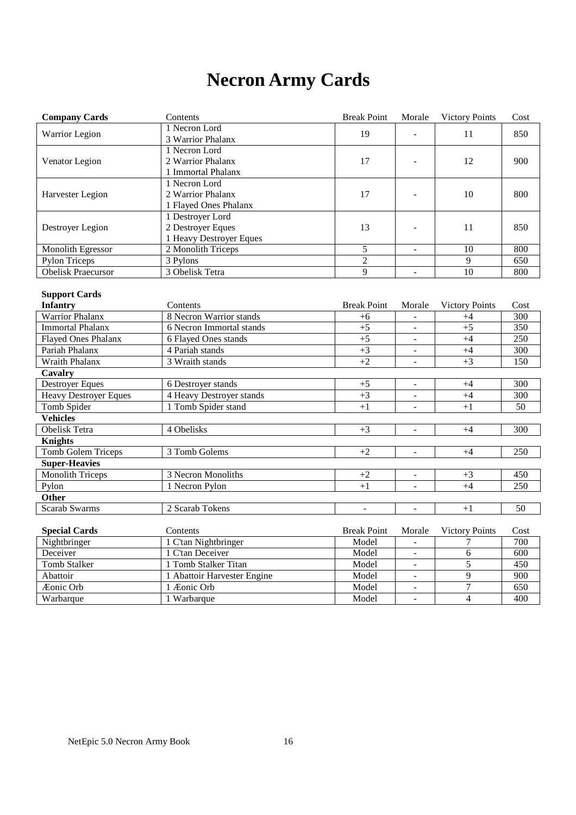# **Necron Army Cards**

| <b>Company Cards</b>         | Contents                    | <b>Break Point</b>       | Morale                       | <b>Victory Points</b>    | Cost             |
|------------------------------|-----------------------------|--------------------------|------------------------------|--------------------------|------------------|
|                              | 1 Necron Lord               | 19                       |                              |                          | 850              |
| Warrior Legion               | 3 Warrior Phalanx           |                          |                              | 11                       |                  |
|                              | 1 Necron Lord               |                          |                              |                          |                  |
| Venator Legion               | 2 Warrior Phalanx           | 17                       | $\overline{\phantom{0}}$     | 12                       | 900              |
|                              | 1 Immortal Phalanx          |                          |                              |                          |                  |
|                              | 1 Necron Lord               |                          |                              |                          |                  |
| Harvester Legion             | 2 Warrior Phalanx           | 17                       |                              | 10                       | 800              |
|                              | 1 Flayed Ones Phalanx       |                          |                              |                          |                  |
|                              | 1 Destroyer Lord            |                          |                              |                          |                  |
| Destroyer Legion             | 2 Destroyer Eques           | 13                       |                              | 11                       | 850              |
|                              | 1 Heavy Destroyer Eques     |                          |                              |                          |                  |
| <b>Monolith Egressor</b>     | 2 Monolith Triceps          | 5                        | $\overline{\phantom{0}}$     | 10                       | 800              |
| <b>Pylon Triceps</b>         | 3 Pylons                    | $\overline{2}$           |                              | $\overline{9}$           | 650              |
| <b>Obelisk Praecursor</b>    | 3 Obelisk Tetra             | 9                        | $\blacksquare$               | 10                       | 800              |
|                              |                             |                          |                              |                          |                  |
| <b>Support Cards</b>         |                             |                          |                              |                          |                  |
| <b>Infantry</b>              | Contents                    | <b>Break Point</b>       | Morale                       | <b>Victory Points</b>    | Cost             |
| <b>Warrior Phalanx</b>       | 8 Necron Warrior stands     | $+6$                     | $\overline{a}$               | $+4$                     | 300              |
| <b>Immortal Phalanx</b>      | 6 Necron Immortal stands    | $+5$                     |                              | $+5$                     | $\overline{350}$ |
| <b>Flayed Ones Phalanx</b>   | 6 Flayed Ones stands        | $+5$                     | $\overline{\phantom{0}}$     | $+4$                     | 250              |
| Pariah Phalanx               | 4 Pariah stands             | $+3$                     | $\qquad \qquad \blacksquare$ | $+4$                     | $\overline{300}$ |
| Wraith Phalanx               | 3 Wraith stands             | $+2$                     | $\blacksquare$               | $+3$                     | 150              |
| Cavalry                      |                             |                          |                              |                          |                  |
| <b>Destroyer Eques</b>       | 6 Destroyer stands          | $+5$                     | $\blacksquare$               | $+4$                     | 300              |
| <b>Heavy Destroyer Eques</b> | 4 Heavy Destroyer stands    | $+3$                     | $\overline{\phantom{a}}$     | $+4$                     | 300              |
| Tomb Spider                  | 1 Tomb Spider stand         | $+1$                     |                              | $+1$                     | 50               |
| <b>Vehicles</b>              |                             |                          |                              |                          |                  |
| <b>Obelisk Tetra</b>         | 4 Obelisks                  | $+3$                     | $\equiv$                     | $+4$                     | 300              |
| <b>Knights</b>               |                             |                          |                              |                          |                  |
| Tomb Golem Triceps           | 3 Tomb Golems               | $+2$                     | $\overline{a}$               | $+4$                     | $\overline{250}$ |
| <b>Super-Heavies</b>         |                             |                          |                              |                          |                  |
| Monolith Triceps             | 3 Necron Monoliths          | $+2$                     | $\blacksquare$               | $+3$                     | 450              |
| Pylon                        | 1 Necron Pylon              | $+1$                     | ÷,                           | $+4$                     | 250              |
| Other                        |                             |                          |                              |                          |                  |
| Scarab Swarms                | 2 Scarab Tokens             | $\overline{\phantom{a}}$ | $\equiv$                     | $+1$                     | 50               |
|                              |                             |                          |                              |                          |                  |
| <b>Special Cards</b>         | Contents                    | <b>Break Point</b>       | Morale                       | <b>Victory Points</b>    | Cost             |
| Nightbringer                 | 1 C'tan Nightbringer        | Model                    | $\overline{a}$               | 7                        | 700              |
| Deceiver                     | 1 C'tan Deceiver            | Model                    | $\overline{\phantom{a}}$     | 6                        | 600              |
| <b>Tomb Stalker</b>          | 1 Tomb Stalker Titan        | Model                    | $\blacksquare$               | 5                        | 450              |
| Abattoir                     | 1 Abattoir Harvester Engine | Model                    | $\overline{a}$               | $\overline{9}$           | $\overline{900}$ |
| Æonic Orb                    | 1 Æonic Orb                 | Model                    | $\overline{\phantom{a}}$     | $\overline{7}$           | 650              |
| Warbarque                    | 1 Warbarque                 | Model                    | $\overline{a}$               | $\overline{\mathcal{L}}$ | 400              |